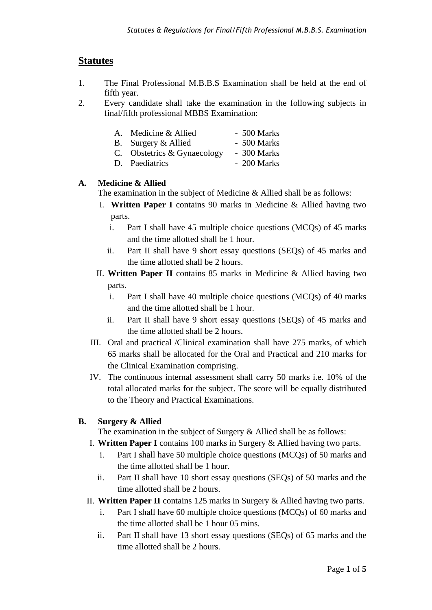## **Statutes**

- 1. The Final Professional M.B.B.S Examination shall be held at the end of fifth year.
- 2. Every candidate shall take the examination in the following subjects in final/fifth professional MBBS Examination:

- B. Surgery & Allied 500 Marks
- C. Obstetrics & Gynaecology 300 Marks
- D. Paediatrics 200 Marks

### **A. Medicine & Allied**

The examination in the subject of Medicine & Allied shall be as follows:

- I. **Written Paper I** contains 90 marks in Medicine & Allied having two parts.
	- i. Part I shall have 45 multiple choice questions (MCQs) of 45 marks and the time allotted shall be 1 hour.
	- ii. Part II shall have 9 short essay questions (SEQs) of 45 marks and the time allotted shall be 2 hours.
- II. **Written Paper II** contains 85 marks in Medicine & Allied having two parts.
	- i. Part I shall have 40 multiple choice questions (MCQs) of 40 marks and the time allotted shall be 1 hour.
	- ii. Part II shall have 9 short essay questions (SEQs) of 45 marks and the time allotted shall be 2 hours.
- III. Oral and practical /Clinical examination shall have 275 marks, of which 65 marks shall be allocated for the Oral and Practical and 210 marks for the Clinical Examination comprising.
- IV. The continuous internal assessment shall carry 50 marks i.e. 10% of the total allocated marks for the subject. The score will be equally distributed to the Theory and Practical Examinations.

### **B. Surgery & Allied**

The examination in the subject of Surgery & Allied shall be as follows:

- I. **Written Paper I** contains 100 marks in Surgery & Allied having two parts.
	- i. Part I shall have 50 multiple choice questions (MCQs) of 50 marks and the time allotted shall be 1 hour.
	- ii. Part II shall have 10 short essay questions (SEQs) of 50 marks and the time allotted shall be 2 hours.
- II. **Written Paper II** contains 125 marks in Surgery & Allied having two parts.
	- i. Part I shall have 60 multiple choice questions (MCQs) of 60 marks and the time allotted shall be 1 hour 05 mins.
	- ii. Part II shall have 13 short essay questions (SEQs) of 65 marks and the time allotted shall be 2 hours.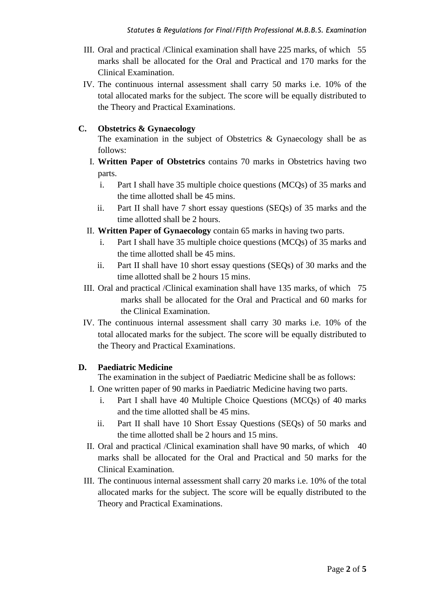- III. Oral and practical /Clinical examination shall have 225 marks, of which 55 marks shall be allocated for the Oral and Practical and 170 marks for the Clinical Examination.
- IV. The continuous internal assessment shall carry 50 marks i.e. 10% of the total allocated marks for the subject. The score will be equally distributed to the Theory and Practical Examinations.

#### **C. Obstetrics & Gynaecology**

The examination in the subject of Obstetrics  $\&$  Gynaecology shall be as follows:

- I. **Written Paper of Obstetrics** contains 70 marks in Obstetrics having two parts.
	- i. Part I shall have 35 multiple choice questions (MCQs) of 35 marks and the time allotted shall be 45 mins.
	- ii. Part II shall have 7 short essay questions (SEQs) of 35 marks and the time allotted shall be 2 hours.
- II. **Written Paper of Gynaecology** contain 65 marks in having two parts.
	- i. Part I shall have 35 multiple choice questions (MCQs) of 35 marks and the time allotted shall be 45 mins.
	- ii. Part II shall have 10 short essay questions (SEQs) of 30 marks and the time allotted shall be 2 hours 15 mins.
- III. Oral and practical /Clinical examination shall have 135 marks, of which 75 marks shall be allocated for the Oral and Practical and 60 marks for the Clinical Examination.
- IV. The continuous internal assessment shall carry 30 marks i.e. 10% of the total allocated marks for the subject. The score will be equally distributed to the Theory and Practical Examinations.

### **D. Paediatric Medicine**

The examination in the subject of Paediatric Medicine shall be as follows:

- I. One written paper of 90 marks in Paediatric Medicine having two parts.
	- i. Part I shall have 40 Multiple Choice Questions (MCQs) of 40 marks and the time allotted shall be 45 mins.
	- ii. Part II shall have 10 Short Essay Questions (SEQs) of 50 marks and the time allotted shall be 2 hours and 15 mins.
- II. Oral and practical /Clinical examination shall have 90 marks, of which 40 marks shall be allocated for the Oral and Practical and 50 marks for the Clinical Examination.
- III. The continuous internal assessment shall carry 20 marks i.e. 10% of the total allocated marks for the subject. The score will be equally distributed to the Theory and Practical Examinations.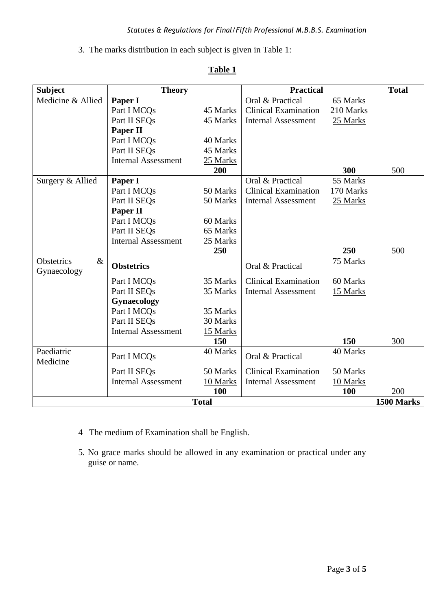3. The marks distribution in each subject is given in Table 1:

|                                          |                            |          |                                                  |            | <b>Total</b> |
|------------------------------------------|----------------------------|----------|--------------------------------------------------|------------|--------------|
| <b>Subject</b><br>Medicine & Allied      | <b>Theory</b>              |          | <b>Practical</b><br>Oral & Practical<br>65 Marks |            |              |
|                                          | Paper I                    |          | <b>Clinical Examination</b>                      | 210 Marks  |              |
|                                          | Part I MCQs                | 45 Marks | <b>Internal Assessment</b>                       |            |              |
|                                          | Part II SEOs               | 45 Marks |                                                  | 25 Marks   |              |
|                                          | <b>Paper II</b>            |          |                                                  |            |              |
|                                          | Part I MCQs                | 40 Marks |                                                  |            |              |
|                                          | Part II SEQs               | 45 Marks |                                                  |            |              |
|                                          | <b>Internal Assessment</b> | 25 Marks |                                                  |            |              |
|                                          |                            | 200      |                                                  | 300        | 500          |
| Surgery & Allied                         | Paper I                    |          | Oral & Practical                                 | 55 Marks   |              |
|                                          | Part I MCQs                | 50 Marks | <b>Clinical Examination</b>                      | 170 Marks  |              |
|                                          | Part II SEQs               | 50 Marks | <b>Internal Assessment</b>                       | 25 Marks   |              |
|                                          | <b>Paper II</b>            |          |                                                  |            |              |
|                                          | Part I MCQs                | 60 Marks |                                                  |            |              |
|                                          | Part II SEQs               | 65 Marks |                                                  |            |              |
|                                          | <b>Internal Assessment</b> | 25 Marks |                                                  |            |              |
|                                          |                            | 250      |                                                  | 250        | 500          |
| <b>Obstetrics</b><br>$\&$<br>Gynaecology | <b>Obstetrics</b>          |          | Oral & Practical                                 | 75 Marks   |              |
|                                          | Part I MCQs                | 35 Marks | <b>Clinical Examination</b>                      | 60 Marks   |              |
|                                          | Part II SEQs               | 35 Marks | <b>Internal Assessment</b>                       | 15 Marks   |              |
|                                          | <b>Gynaecology</b>         |          |                                                  |            |              |
|                                          | Part I MCQs                | 35 Marks |                                                  |            |              |
|                                          | Part II SEQs               | 30 Marks |                                                  |            |              |
|                                          | <b>Internal Assessment</b> | 15 Marks |                                                  |            |              |
|                                          |                            | 150      |                                                  | 150        | 300          |
| Paediatric<br>Medicine                   | Part I MCQs                | 40 Marks | Oral & Practical                                 | 40 Marks   |              |
|                                          | Part II SEQs               | 50 Marks | <b>Clinical Examination</b>                      | 50 Marks   |              |
|                                          | <b>Internal Assessment</b> | 10 Marks | <b>Internal Assessment</b>                       | 10 Marks   |              |
|                                          |                            | 100      |                                                  | <b>100</b> | 200          |
| <b>Total</b>                             |                            |          |                                                  |            | 1500 Marks   |

### **Table 1**

- 4 The medium of Examination shall be English.
- 5. No grace marks should be allowed in any examination or practical under any guise or name.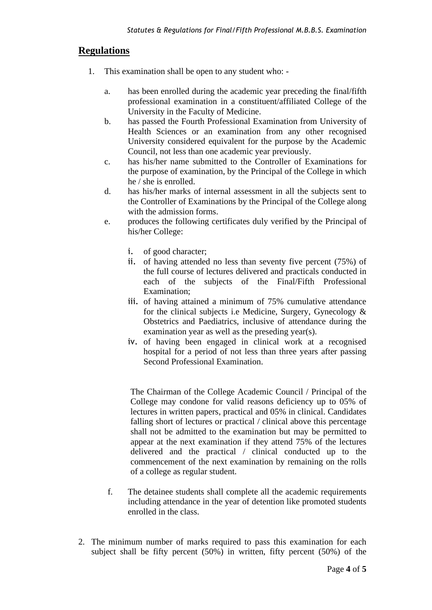# **Regulations**

- 1. This examination shall be open to any student who:
	- a. has been enrolled during the academic year preceding the final/fifth professional examination in a constituent/affiliated College of the University in the Faculty of Medicine.
	- b. has passed the Fourth Professional Examination from University of Health Sciences or an examination from any other recognised University considered equivalent for the purpose by the Academic Council, not less than one academic year previously.
	- c. has his/her name submitted to the Controller of Examinations for the purpose of examination, by the Principal of the College in which he / she is enrolled.
	- d. has his/her marks of internal assessment in all the subjects sent to the Controller of Examinations by the Principal of the College along with the admission forms.
	- e. produces the following certificates duly verified by the Principal of his/her College:
		- i. of good character;
		- ii. of having attended no less than seventy five percent (75%) of the full course of lectures delivered and practicals conducted in each of the subjects of the Final/Fifth Professional Examination;
		- iii. of having attained a minimum of 75% cumulative attendance for the clinical subjects i.e Medicine, Surgery, Gynecology & Obstetrics and Paediatrics, inclusive of attendance during the examination year as well as the preseding year(s).
		- iv. of having been engaged in clinical work at a recognised hospital for a period of not less than three years after passing Second Professional Examination.

The Chairman of the College Academic Council / Principal of the College may condone for valid reasons deficiency up to 05% of lectures in written papers, practical and 05% in clinical. Candidates falling short of lectures or practical / clinical above this percentage shall not be admitted to the examination but may be permitted to appear at the next examination if they attend 75% of the lectures delivered and the practical / clinical conducted up to the commencement of the next examination by remaining on the rolls of a college as regular student.

- f. The detainee students shall complete all the academic requirements including attendance in the year of detention like promoted students enrolled in the class.
- 2. The minimum number of marks required to pass this examination for each subject shall be fifty percent (50%) in written, fifty percent (50%) of the